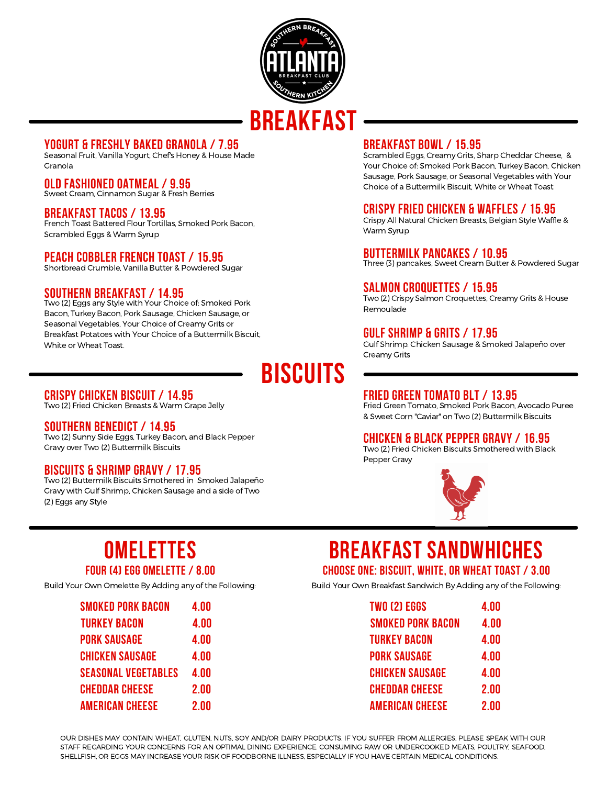

### **yogurt & freshly baked granola / 7.95**

Seasonal Fruit, Vanilla Yogurt, Chefs Honey & House Made Granola

### **Old Fashioned Oatmeal / 9.95**

Sweet Cream, Cinnamon Sugar & Fresh Berries

### **Breakfast Tacos / 13.95**

French Toast Battered Flour Tortillas, Smoked Pork Bacon, Scrambled Eggs & Warm Syrup

### **Peach Cobbler French toast / 15.95**

Shortbread Crumble, Vanilla Butter & Powdered Sugar

### **Southern Breakfast / 14.95**

Two (2) Eggs any Style with Your Choice of: Smoked Pork Bacon, Turkey Bacon, Pork Sausage, Chicken Sausage, or Seasonal Vegetables, Your Choice of Creamy Grits or Breakfast Potatoes with Your Choice of a Buttermilk Biscuit, White or Wheat Toast.

# **biscuits**

### **Crispy Chicken Biscuit / 14.95**

Two (2) Fried Chicken Breasts & Warm Grape Jelly

### **Southern Benedict / 14.95**

Two (2) Sunny Side Eggs, Turkey Bacon, and Black Pepper Gravy over Two (2) Buttermilk Biscuits

### **Biscuits & Shrimp Gravy / 17.95**

Two (2) Buttermilk Biscuits Smothered in Smoked Jalapeño Gravy with Gulf Shrimp, Chicken Sausage and a side of Two (2) Eggs any Style

### **Breakfast bowl / 15.95**

Scrambled Eggs, Creamy Grits, Sharp Cheddar Cheese, & Your Choice of: Smoked Pork Bacon, Turkey Bacon, Chicken Sausage, Pork Sausage, or Seasonal Vegetables with Your Choice of a Buttermilk Biscuit, White or Wheat Toast

### **Crispy Fried Chicken & Waffles / 15.95**

Crispy All Natural Chicken Breasts, Belgian Style Waffle & Warm Syrup

### **Buttermilk Pancakes / 10.95**

Three (3) pancakes, Sweet Cream Butter & Powdered Sugar

### **Salmon Croquettes / 15.95**

Two (2) Crispy Salmon Croquettes, Creamy Grits & House Remoulade

### **Gulf shrimp & Grits / 17.95**

Gulf Shrimp. Chicken Sausage & Smoked Jalapeño over Creamy Grits

# **Fried Green Tomato BLT / 13.95**

Fried Green Tomato, Smoked Pork Bacon, Avocado Puree & Sweet Corn "Caviar" on Two (2) Buttermilk Biscuits

### **Chicken & Black Pepper Gravy / 16.95**

Two (2) Fried Chicken Biscuits Smothered with Black Pepper Gravy



## **Omelettes four (4) egg Omelette / 8.00**

Build Your Own Omelette By Adding any of the Following:

| <b>SMOKED PORK BACON</b>   | 4.00 |
|----------------------------|------|
| <b>TURKEY BACON</b>        | 4.00 |
| <b>PORK SAUSAGE</b>        | 4.00 |
| <b>CHICKEN SAUSAGE</b>     | 4.00 |
| <b>SEASONAL VEGETABLES</b> | 4.00 |
| <b>CHEDDAR CHEESE</b>      | 2.00 |
| <b>AMERICAN CHEESE</b>     | 2.00 |

## **Breakfast Sandwhiches Choose one: Biscuit, white, or wheat toast / 3.00**

Build Your Own Breakfast Sandwich By Adding any of the Following:

| <b>TWO (2) EGGS</b>      | 4.00 |
|--------------------------|------|
| <b>SMOKED PORK BACON</b> | 4.00 |
| <b>TURKEY BACON</b>      | 4.00 |
| <b>PORK SAUSAGE</b>      | 4.00 |
| <b>CHICKEN SAUSAGE</b>   | 4.00 |
| <b>CHEDDAR CHEESE</b>    | 2.00 |
| <b>AMERICAN CHEESE</b>   | 2 NN |

OUR DISHES MAY CONTAIN WHEAT, GLUTEN, NUTS, SOY AND/OR DAIRY PRODUCTS. IF YOU SUFFER FROM ALLERGIES, PLEASE SPEAK WITH OUR STAFF REGARDING YOUR CONCERNS FOR AN OPTIMAL DINING EXPERIENCE. CONSUMING RAW OR UNDERCOOKED MEATS, POULTRY, SEAFOOD, SHELLFISH, OR EGGS MAY INCREASE YOUR RISK OF FOODBORNE ILLNESS, ESPECIALLY IF YOU HAVE CERTAIN MEDICAL CONDITIONS.